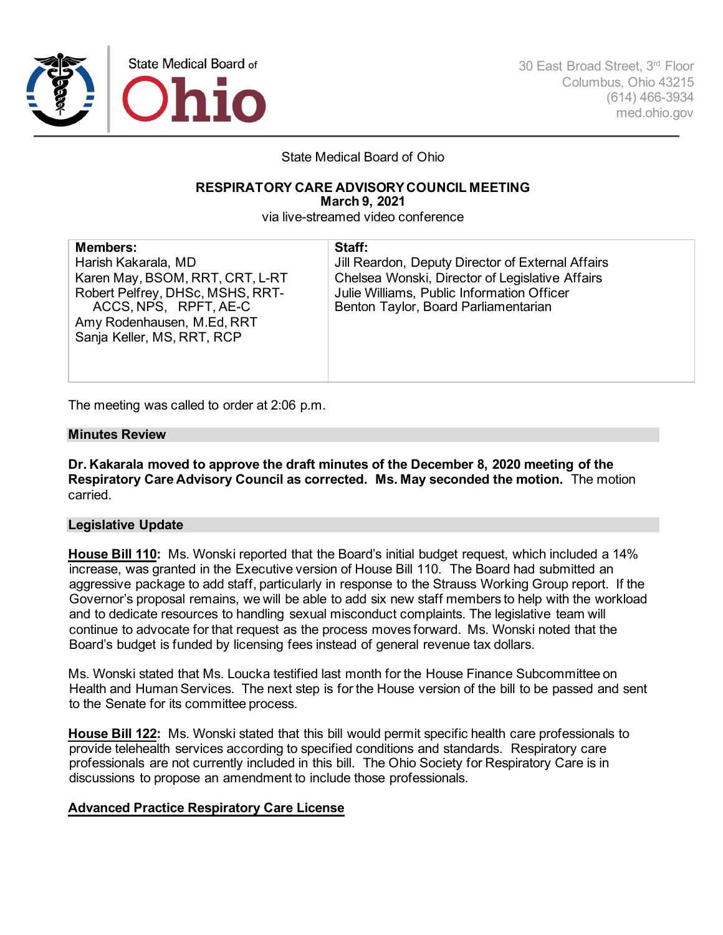

30 East Broad Street, 3rd Floor Columbus, Ohio 43215 (614) 466-3934 med.ohio.gov

State Medical Board of Ohio

#### **RESPIRATORY CARE ADVISORY COUNCIL MEETING March 9, 2021**

via live-streamed video conference

| <b>Members:</b><br>Harish Kakarala, MD<br>Karen May, BSOM, RRT, CRT, L-RT<br>Robert Pelfrey, DHSc, MSHS, RRT-<br>ACCS, NPS, RPFT, AE-C<br>Amy Rodenhausen, M.Ed, RRT<br>Sanja Keller, MS, RRT, RCP | Staff:<br>Jill Reardon, Deputy Director of External Affairs<br>Chelsea Wonski, Director of Legislative Affairs<br>Julie Williams, Public Information Officer<br>Benton Taylor, Board Parliamentarian |
|----------------------------------------------------------------------------------------------------------------------------------------------------------------------------------------------------|------------------------------------------------------------------------------------------------------------------------------------------------------------------------------------------------------|
|----------------------------------------------------------------------------------------------------------------------------------------------------------------------------------------------------|------------------------------------------------------------------------------------------------------------------------------------------------------------------------------------------------------|

The meeting was called to order at 2:06 p.m.

## **Minutes Review**

**Dr. Kakarala moved to approve the draft minutes of the December 8, 2020 meeting of the Respiratory Care Advisory Council as corrected. Ms. May seconded the motion.** The motion carried.

# **Legislative Update**

**House Bill 110:** Ms. Wonski reported that the Board's initial budget request, which included a 14% increase, was granted in the Executive version of House Bill 110. The Board had submitted an aggressive package to add staff, particularly in response to the Strauss Working Group report. If the Governor's proposal remains, we will be able to add six new staff members to help with the workload and to dedicate resources to handling sexual misconduct complaints. The legislative team will continue to advocate for that request as the process moves forward. Ms. Wonski noted that the Board's budget is funded by licensing fees instead of general revenue tax dollars.

Ms. Wonski stated that Ms. Loucka testified last month for the House Finance Subcommittee on Health and Human Services. The next step is for the House version of the bill to be passed and sent to the Senate for its committee process.

**House Bill 122:** Ms. Wonski stated that this bill would permit specific health care professionals to provide telehealth services according to specified conditions and standards. Respiratory care professionals are not currently included in this bill. The Ohio Society for Respiratory Care is in discussions to propose an amendment to include those professionals.

# **Advanced Practice Respiratory Care License**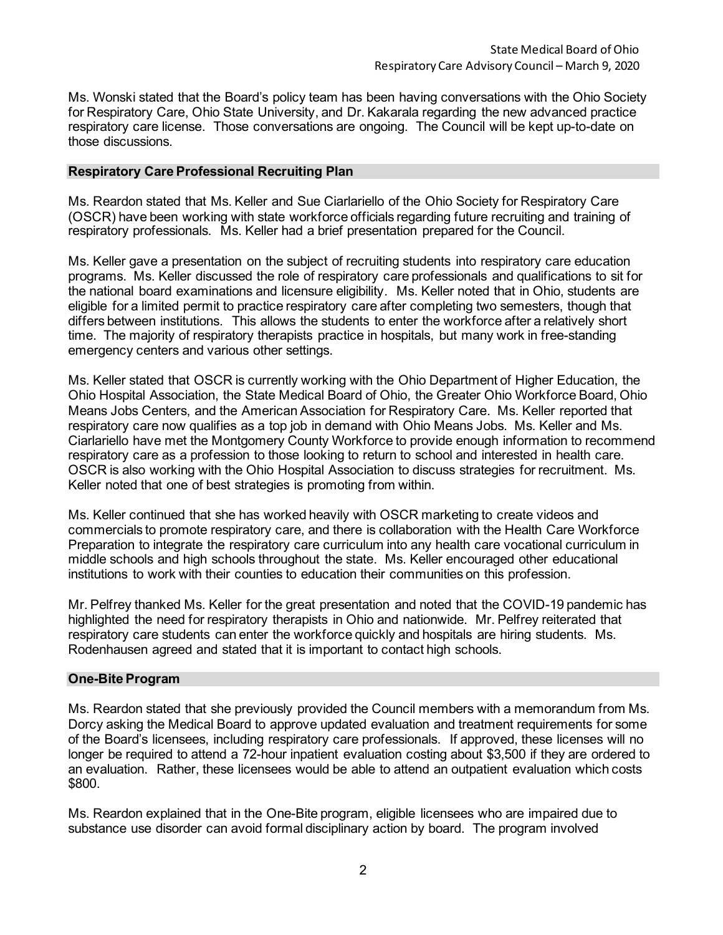Ms. Wonski stated that the Board's policy team has been having conversations with the Ohio Society for Respiratory Care, Ohio State University, and Dr. Kakarala regarding the new advanced practice respiratory care license. Those conversations are ongoing. The Council will be kept up-to-date on those discussions.

### **Respiratory Care Professional Recruiting Plan**

Ms. Reardon stated that Ms. Keller and Sue Ciarlariello of the Ohio Society for Respiratory Care (OSCR) have been working with state workforce officials regarding future recruiting and training of respiratory professionals. Ms. Keller had a brief presentation prepared for the Council.

Ms. Keller gave a presentation on the subject of recruiting students into respiratory care education programs. Ms. Keller discussed the role of respiratory care professionals and qualifications to sit for the national board examinations and licensure eligibility. Ms. Keller noted that in Ohio, students are eligible for a limited permit to practice respiratory care after completing two semesters, though that differs between institutions. This allows the students to enter the workforce after a relatively short time. The majority of respiratory therapists practice in hospitals, but many work in free-standing emergency centers and various other settings.

Ms. Keller stated that OSCR is currently working with the Ohio Department of Higher Education, the Ohio Hospital Association, the State Medical Board of Ohio, the Greater Ohio Workforce Board, Ohio Means Jobs Centers, and the American Association for Respiratory Care. Ms. Keller reported that respiratory care now qualifies as a top job in demand with Ohio Means Jobs. Ms. Keller and Ms. Ciarlariello have met the Montgomery County Workforce to provide enough information to recommend respiratory care as a profession to those looking to return to school and interested in health care. OSCR is also working with the Ohio Hospital Association to discuss strategies for recruitment. Ms. Keller noted that one of best strategies is promoting from within.

Ms. Keller continued that she has worked heavily with OSCR marketing to create videos and commercials to promote respiratory care, and there is collaboration with the Health Care Workforce Preparation to integrate the respiratory care curriculum into any health care vocational curriculum in middle schools and high schools throughout the state. Ms. Keller encouraged other educational institutions to work with their counties to education their communities on this profession.

Mr. Pelfrey thanked Ms. Keller for the great presentation and noted that the COVID-19 pandemic has highlighted the need for respiratory therapists in Ohio and nationwide. Mr. Pelfrey reiterated that respiratory care students can enter the workforce quickly and hospitals are hiring students. Ms. Rodenhausen agreed and stated that it is important to contact high schools.

#### **One-Bite Program**

Ms. Reardon stated that she previously provided the Council members with a memorandum from Ms. Dorcy asking the Medical Board to approve updated evaluation and treatment requirements for some of the Board's licensees, including respiratory care professionals. If approved, these licenses will no longer be required to attend a 72-hour inpatient evaluation costing about \$3,500 if they are ordered to an evaluation. Rather, these licensees would be able to attend an outpatient evaluation which costs \$800.

Ms. Reardon explained that in the One-Bite program, eligible licensees who are impaired due to substance use disorder can avoid formal disciplinary action by board. The program involved